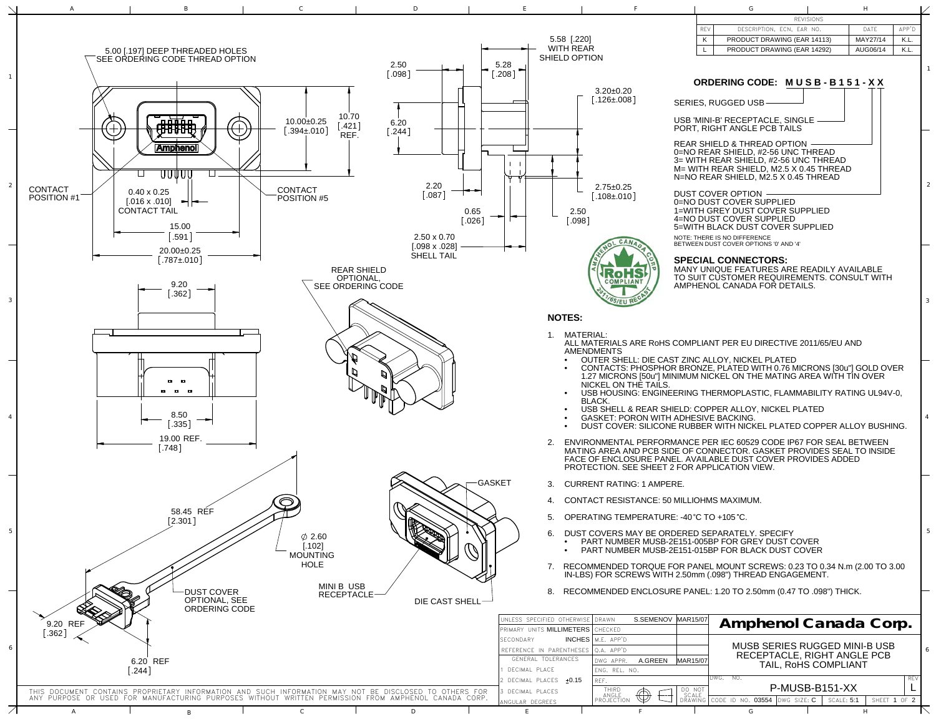